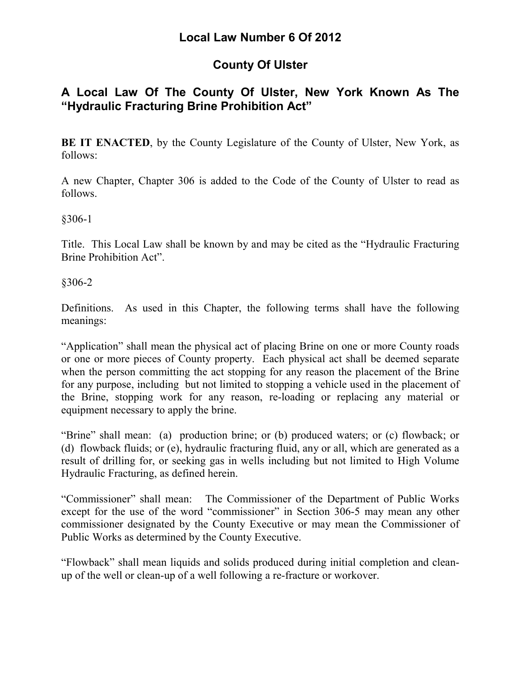# **County Of Ulster**

## **A Local Law Of The County Of Ulster, New York Known As The "Hydraulic Fracturing Brine Prohibition Act"**

**BE IT ENACTED**, by the County Legislature of the County of Ulster, New York, as follows:

A new Chapter, Chapter 306 is added to the Code of the County of Ulster to read as follows.

§306-1

Title. This Local Law shall be known by and may be cited as the "Hydraulic Fracturing Brine Prohibition Act".

§306-2

Definitions. As used in this Chapter, the following terms shall have the following meanings:

"Application" shall mean the physical act of placing Brine on one or more County roads or one or more pieces of County property. Each physical act shall be deemed separate when the person committing the act stopping for any reason the placement of the Brine for any purpose, including but not limited to stopping a vehicle used in the placement of the Brine, stopping work for any reason, re-loading or replacing any material or equipment necessary to apply the brine.

"Brine" shall mean: (a) production brine; or (b) produced waters; or (c) flowback; or (d) flowback fluids; or (e), hydraulic fracturing fluid, any or all, which are generated as a result of drilling for, or seeking gas in wells including but not limited to High Volume Hydraulic Fracturing, as defined herein.

"Commissioner" shall mean: The Commissioner of the Department of Public Works except for the use of the word "commissioner" in Section 306-5 may mean any other commissioner designated by the County Executive or may mean the Commissioner of Public Works as determined by the County Executive.

"Flowback" shall mean liquids and solids produced during initial completion and cleanup of the well or clean-up of a well following a re-fracture or workover.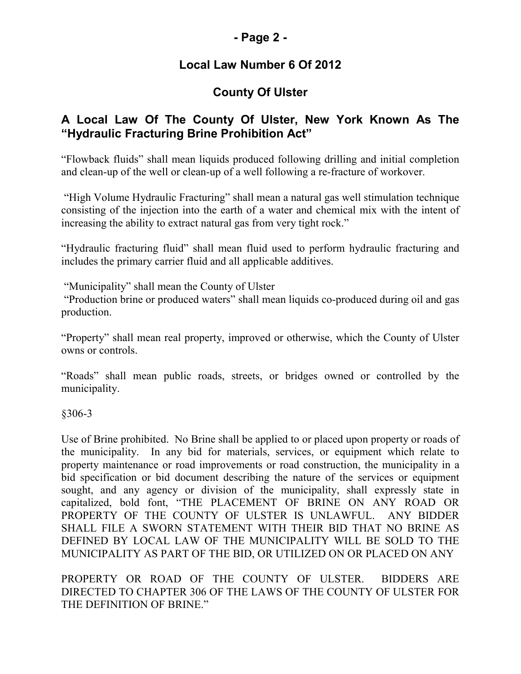### **- Page 2 -**

## **Local Law Number 6 Of 2012**

# **County Of Ulster**

### **A Local Law Of The County Of Ulster, New York Known As The "Hydraulic Fracturing Brine Prohibition Act"**

"Flowback fluids" shall mean liquids produced following drilling and initial completion and clean-up of the well or clean-up of a well following a re-fracture of workover.

 "High Volume Hydraulic Fracturing" shall mean a natural gas well stimulation technique consisting of the injection into the earth of a water and chemical mix with the intent of increasing the ability to extract natural gas from very tight rock."

"Hydraulic fracturing fluid" shall mean fluid used to perform hydraulic fracturing and includes the primary carrier fluid and all applicable additives.

"Municipality" shall mean the County of Ulster

 "Production brine or produced waters" shall mean liquids co-produced during oil and gas production.

"Property" shall mean real property, improved or otherwise, which the County of Ulster owns or controls.

"Roads" shall mean public roads, streets, or bridges owned or controlled by the municipality.

§306-3

Use of Brine prohibited. No Brine shall be applied to or placed upon property or roads of the municipality. In any bid for materials, services, or equipment which relate to property maintenance or road improvements or road construction, the municipality in a bid specification or bid document describing the nature of the services or equipment sought, and any agency or division of the municipality, shall expressly state in capitalized, bold font, "THE PLACEMENT OF BRINE ON ANY ROAD OR PROPERTY OF THE COUNTY OF ULSTER IS UNLAWFUL. ANY BIDDER SHALL FILE A SWORN STATEMENT WITH THEIR BID THAT NO BRINE AS DEFINED BY LOCAL LAW OF THE MUNICIPALITY WILL BE SOLD TO THE MUNICIPALITY AS PART OF THE BID, OR UTILIZED ON OR PLACED ON ANY

PROPERTY OR ROAD OF THE COUNTY OF ULSTER. BIDDERS ARE DIRECTED TO CHAPTER 306 OF THE LAWS OF THE COUNTY OF ULSTER FOR THE DEFINITION OF BRINE."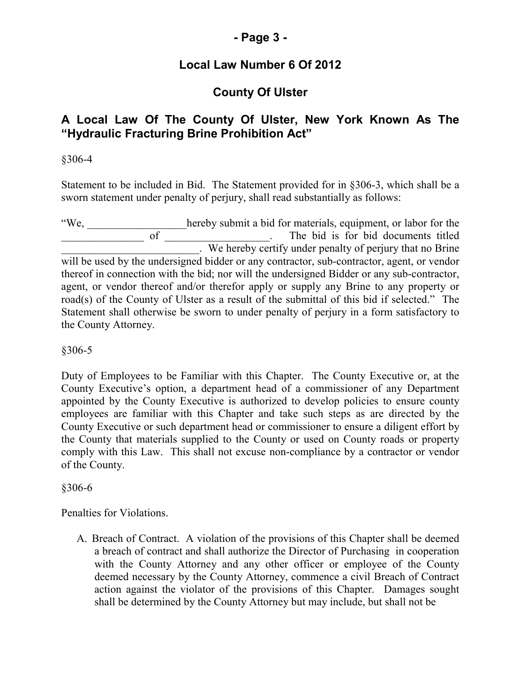## **- Page 3 -**

## **Local Law Number 6 Of 2012**

# **County Of Ulster**

### **A Local Law Of The County Of Ulster, New York Known As The "Hydraulic Fracturing Brine Prohibition Act"**

§306-4

Statement to be included in Bid. The Statement provided for in §306-3, which shall be a sworn statement under penalty of perjury, shall read substantially as follows:

"We, \_\_\_\_\_\_\_\_\_\_\_\_\_\_\_\_\_\_hereby submit a bid for materials, equipment, or labor for the \_\_\_\_\_\_\_\_\_\_\_\_\_\_\_ of \_\_\_\_\_\_\_\_\_\_\_\_\_\_\_\_\_\_\_. The bid is for bid documents titled **Example 2.1 We hereby certify under penalty of perjury that no Brine** will be used by the undersigned bidder or any contractor, sub-contractor, agent, or vendor thereof in connection with the bid; nor will the undersigned Bidder or any sub-contractor, agent, or vendor thereof and/or therefor apply or supply any Brine to any property or road(s) of the County of Ulster as a result of the submittal of this bid if selected." The Statement shall otherwise be sworn to under penalty of perjury in a form satisfactory to the County Attorney.

§306-5

Duty of Employees to be Familiar with this Chapter. The County Executive or, at the County Executive's option, a department head of a commissioner of any Department appointed by the County Executive is authorized to develop policies to ensure county employees are familiar with this Chapter and take such steps as are directed by the County Executive or such department head or commissioner to ensure a diligent effort by the County that materials supplied to the County or used on County roads or property comply with this Law. This shall not excuse non-compliance by a contractor or vendor of the County.

§306-6

Penalties for Violations.

A. Breach of Contract. A violation of the provisions of this Chapter shall be deemed a breach of contract and shall authorize the Director of Purchasing in cooperation with the County Attorney and any other officer or employee of the County deemed necessary by the County Attorney, commence a civil Breach of Contract action against the violator of the provisions of this Chapter. Damages sought shall be determined by the County Attorney but may include, but shall not be